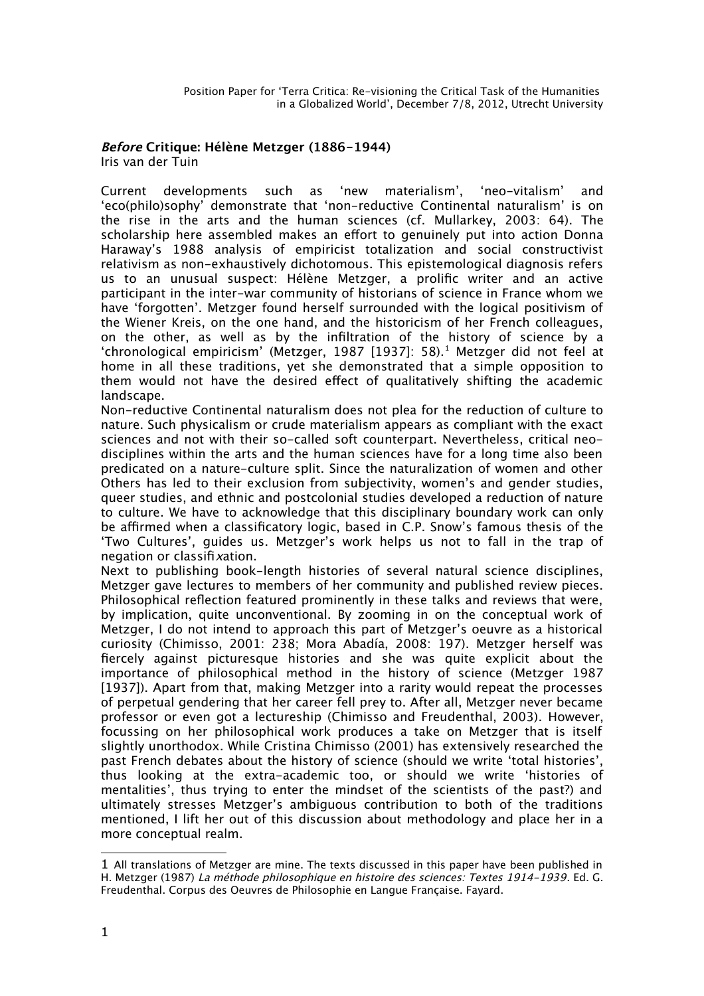## **Before Critique: Hélène Metzger (1886-1944)** Iris van der Tuin

Current developments such as 'new materialism', 'neo-vitalism' and 'eco(philo)sophy' demonstrate that 'non-reductive Continental naturalism' is on the rise in the arts and the human sciences (cf. Mullarkey, 2003: 64). The scholarship here assembled makes an effort to genuinely put into action Donna Haraway's 1988 analysis of empiricist totalization and social constructivist relativism as non-exhaustively dichotomous. This epistemological diagnosis refers us to an unusual suspect: Hélène Metzger, a prolifc writer and an active participant in the inter-war community of historians of science in France whom we have 'forgotten'. Metzger found herself surrounded with the logical positivism of the Wiener Kreis, on the one hand, and the historicism of her French colleagues, on the other, as well as by the infltration of the history of science by a 'chronological empiricism' (Metzger, [1](#page-0-0)987 [1937]: 58).<sup>1</sup> Metzger did not feel at home in all these traditions, yet she demonstrated that a simple opposition to them would not have the desired effect of qualitatively shifting the academic landscape.

Non-reductive Continental naturalism does not plea for the reduction of culture to nature. Such physicalism or crude materialism appears as compliant with the exact sciences and not with their so-called soft counterpart. Nevertheless, critical neodisciplines within the arts and the human sciences have for a long time also been predicated on a nature-culture split. Since the naturalization of women and other Others has led to their exclusion from subjectivity, women's and gender studies, queer studies, and ethnic and postcolonial studies developed a reduction of nature to culture. We have to acknowledge that this disciplinary boundary work can only be affirmed when a classificatory logic, based in C.P. Snow's famous thesis of the 'Two Cultures', guides us. Metzger's work helps us not to fall in the trap of negation or classifixation.

Next to publishing book-length histories of several natural science disciplines, Metzger gave lectures to members of her community and published review pieces. Philosophical refection featured prominently in these talks and reviews that were, by implication, quite unconventional. By zooming in on the conceptual work of Metzger, I do not intend to approach this part of Metzger's oeuvre as a historical curiosity (Chimisso, 2001: 238; Mora Abadía, 2008: 197). Metzger herself was fercely against picturesque histories and she was quite explicit about the importance of philosophical method in the history of science (Metzger 1987 [1937]). Apart from that, making Metzger into a rarity would repeat the processes of perpetual gendering that her career fell prey to. After all, Metzger never became professor or even got a lectureship (Chimisso and Freudenthal, 2003). However, focussing on her philosophical work produces a take on Metzger that is itself slightly unorthodox. While Cristina Chimisso (2001) has extensively researched the past French debates about the history of science (should we write 'total histories', thus looking at the extra-academic too, or should we write 'histories of mentalities', thus trying to enter the mindset of the scientists of the past?) and ultimately stresses Metzger's ambiguous contribution to both of the traditions mentioned, I lift her out of this discussion about methodology and place her in a more conceptual realm.

<span id="page-0-0"></span><sup>1</sup> All translations of Metzger are mine. The texts discussed in this paper have been published in H. Metzger (1987) La méthode philosophique en histoire des sciences: Textes 1914-1939. Ed. G. Freudenthal. Corpus des Oeuvres de Philosophie en Langue Française. Fayard.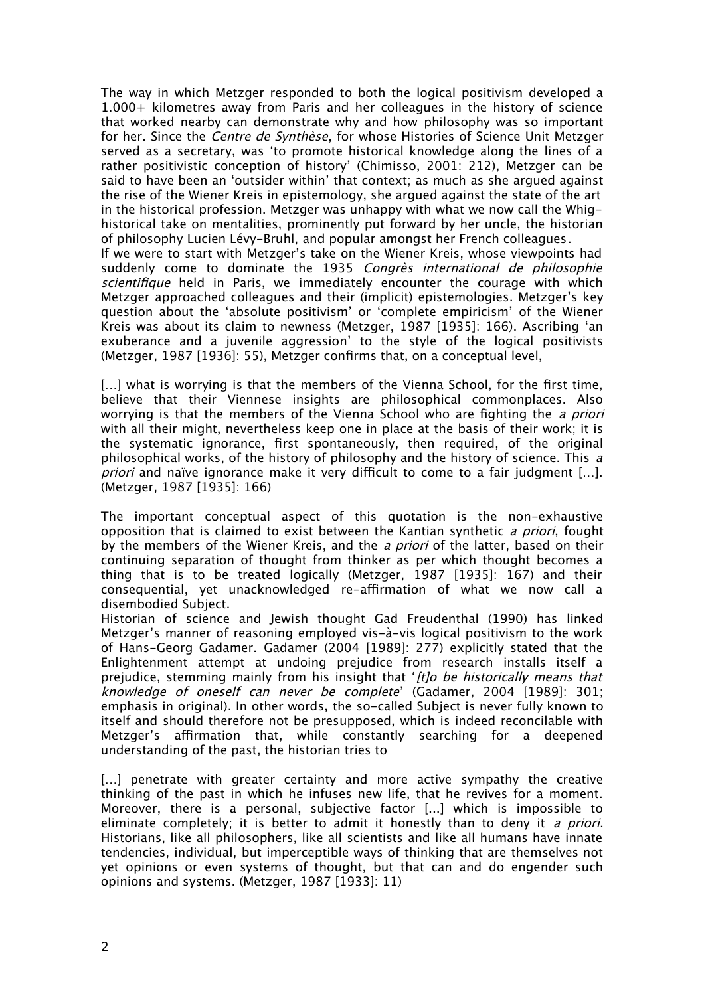The way in which Metzger responded to both the logical positivism developed a 1.000+ kilometres away from Paris and her colleagues in the history of science that worked nearby can demonstrate why and how philosophy was so important for her. Since the *Centre de Synthèse*, for whose Histories of Science Unit Metzger served as a secretary, was 'to promote historical knowledge along the lines of a rather positivistic conception of history' (Chimisso, 2001: 212), Metzger can be said to have been an 'outsider within' that context; as much as she argued against the rise of the Wiener Kreis in epistemology, she argued against the state of the art in the historical profession. Metzger was unhappy with what we now call the Whighistorical take on mentalities, prominently put forward by her uncle, the historian of philosophy Lucien Lévy-Bruhl, and popular amongst her French colleagues. If we were to start with Metzger's take on the Wiener Kreis, whose viewpoints had suddenly come to dominate the 1935 Congrès international de philosophie scientifique held in Paris, we immediately encounter the courage with which

Metzger approached colleagues and their (implicit) epistemologies. Metzger's key question about the 'absolute positivism' or 'complete empiricism' of the Wiener Kreis was about its claim to newness (Metzger, 1987 [1935]: 166). Ascribing 'an exuberance and a juvenile aggression' to the style of the logical positivists (Metzger, 1987 [1936]: 55), Metzger confrms that, on a conceptual level,

[...] what is worrying is that the members of the Vienna School, for the first time, believe that their Viennese insights are philosophical commonplaces. Also worrying is that the members of the Vienna School who are fighting the *a priori* with all their might, nevertheless keep one in place at the basis of their work; it is the systematic ignorance, frst spontaneously, then required, of the original philosophical works, of the history of philosophy and the history of science. This  $a$ priori and naïve ignorance make it very difficult to come to a fair judgment  $[...]$ . (Metzger, 1987 [1935]: 166)

The important conceptual aspect of this quotation is the non-exhaustive opposition that is claimed to exist between the Kantian synthetic *a priori*, fought by the members of the Wiener Kreis, and the a priori of the latter, based on their continuing separation of thought from thinker as per which thought becomes a thing that is to be treated logically (Metzger, 1987 [1935]: 167) and their consequential, yet unacknowledged re-affirmation of what we now call a disembodied Subject.

Historian of science and Jewish thought Gad Freudenthal (1990) has linked Metzger's manner of reasoning employed vis-à-vis logical positivism to the work of Hans-Georg Gadamer. Gadamer (2004 [1989]: 277) explicitly stated that the Enlightenment attempt at undoing prejudice from research installs itself a prejudice, stemming mainly from his insight that '[t]o be historically means that knowledge of oneself can never be complete' (Gadamer, 2004 [1989]: 301; emphasis in original). In other words, the so-called Subject is never fully known to itself and should therefore not be presupposed, which is indeed reconcilable with Metzger's affirmation that, while constantly searching for a deepened understanding of the past, the historian tries to

[...] penetrate with greater certainty and more active sympathy the creative thinking of the past in which he infuses new life, that he revives for a moment. Moreover, there is a personal, subjective factor [...] which is impossible to eliminate completely; it is better to admit it honestly than to deny it a priori. Historians, like all philosophers, like all scientists and like all humans have innate tendencies, individual, but imperceptible ways of thinking that are themselves not yet opinions or even systems of thought, but that can and do engender such opinions and systems. (Metzger, 1987 [1933]: 11)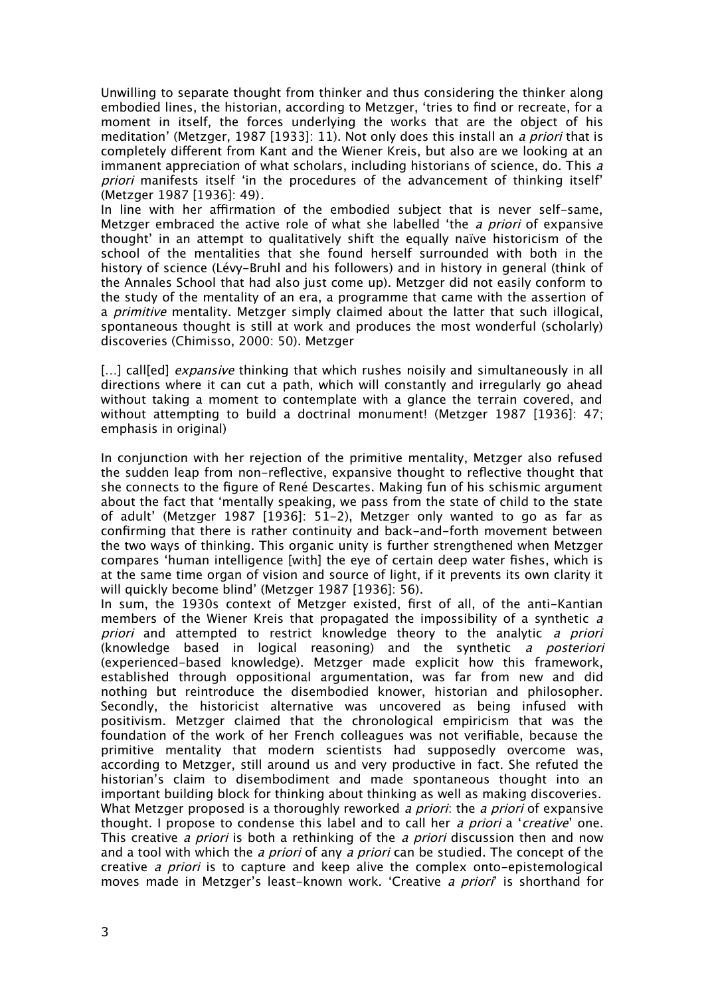Unwilling to separate thought from thinker and thus considering the thinker along embodied lines, the historian, according to Metzger, 'tries to fnd or recreate, for a moment in itself, the forces underlying the works that are the object of his meditation' (Metzger, 1987 [1933]: 11). Not only does this install an *a priori* that is completely diferent from Kant and the Wiener Kreis, but also are we looking at an immanent appreciation of what scholars, including historians of science, do. This a priori manifests itself 'in the procedures of the advancement of thinking itself' (Metzger 1987 [1936]: 49).

In line with her affirmation of the embodied subiect that is never self-same. Metzger embraced the active role of what she labelled 'the *a priori* of expansive thought' in an attempt to qualitatively shift the equally naïve historicism of the school of the mentalities that she found herself surrounded with both in the history of science (Lévy-Bruhl and his followers) and in history in general (think of the Annales School that had also just come up). Metzger did not easily conform to the study of the mentality of an era, a programme that came with the assertion of a *primitive* mentality. Metzger simply claimed about the latter that such illogical, spontaneous thought is still at work and produces the most wonderful (scholarly) discoveries (Chimisso, 2000: 50). Metzger

[...] call[ed] *expansive* thinking that which rushes noisily and simultaneously in all directions where it can cut a path, which will constantly and irregularly go ahead without taking a moment to contemplate with a glance the terrain covered, and without attempting to build a doctrinal monument! (Metzger 1987 [1936]: 47; emphasis in original)

In conjunction with her rejection of the primitive mentality, Metzger also refused the sudden leap from non-refective, expansive thought to refective thought that she connects to the figure of René Descartes. Making fun of his schismic argument about the fact that 'mentally speaking, we pass from the state of child to the state of adult' (Metzger 1987 [1936]: 51-2), Metzger only wanted to go as far as confrming that there is rather continuity and back-and-forth movement between the two ways of thinking. This organic unity is further strengthened when Metzger compares 'human intelligence [with] the eye of certain deep water fshes, which is at the same time organ of vision and source of light, if it prevents its own clarity it will quickly become blind' (Metzger 1987 [1936]: 56).

In sum, the 1930s context of Metzger existed, frst of all, of the anti-Kantian members of the Wiener Kreis that propagated the impossibility of a synthetic  $a$ priori and attempted to restrict knowledge theory to the analytic a priori (knowledge based in logical reasoning) and the synthetic <sup>a</sup> posteriori (experienced-based knowledge). Metzger made explicit how this framework, established through oppositional argumentation, was far from new and did nothing but reintroduce the disembodied knower, historian and philosopher. Secondly, the historicist alternative was uncovered as being infused with positivism. Metzger claimed that the chronological empiricism that was the foundation of the work of her French colleagues was not verifable, because the primitive mentality that modern scientists had supposedly overcome was, according to Metzger, still around us and very productive in fact. She refuted the historian's claim to disembodiment and made spontaneous thought into an important building block for thinking about thinking as well as making discoveries. What Metzger proposed is a thoroughly reworked a priori: the a priori of expansive thought. I propose to condense this label and to call her a priori a 'creative' one. This creative *a priori* is both a rethinking of the *a priori* discussion then and now and a tool with which the *a priori* of any *a priori* can be studied. The concept of the creative a priori is to capture and keep alive the complex onto-epistemological moves made in Metzger's least-known work. 'Creative a priori' is shorthand for